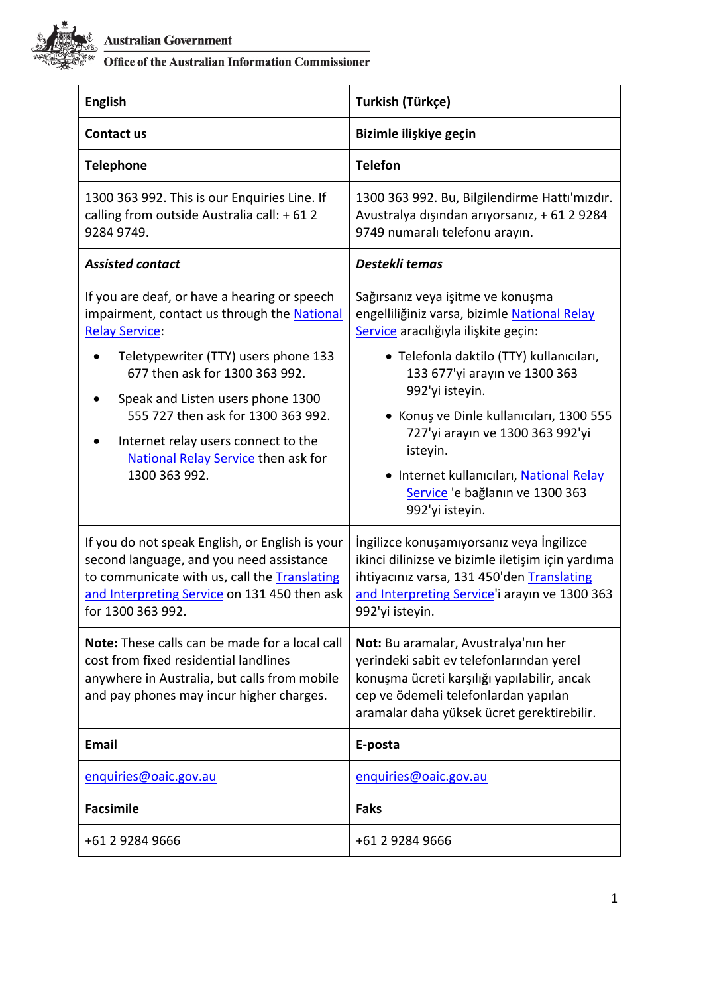

Australian Government<br>
States Office of the Australian Information Commissioner

| <b>English</b>                                                                                                                                                                                                                                                                                                                                                           | Turkish (Türkçe)                                                                                                                                                                                                                                                                                                                                                                                                        |
|--------------------------------------------------------------------------------------------------------------------------------------------------------------------------------------------------------------------------------------------------------------------------------------------------------------------------------------------------------------------------|-------------------------------------------------------------------------------------------------------------------------------------------------------------------------------------------------------------------------------------------------------------------------------------------------------------------------------------------------------------------------------------------------------------------------|
| Contact us                                                                                                                                                                                                                                                                                                                                                               | Bizimle ilişkiye geçin                                                                                                                                                                                                                                                                                                                                                                                                  |
| <b>Telephone</b>                                                                                                                                                                                                                                                                                                                                                         | <b>Telefon</b>                                                                                                                                                                                                                                                                                                                                                                                                          |
| 1300 363 992. This is our Enquiries Line. If<br>calling from outside Australia call: +612<br>9284 9749.                                                                                                                                                                                                                                                                  | 1300 363 992. Bu, Bilgilendirme Hattı'mızdır.<br>Avustralya dışından arıyorsanız, + 61 2 9284<br>9749 numaralı telefonu arayın.                                                                                                                                                                                                                                                                                         |
| <b>Assisted contact</b>                                                                                                                                                                                                                                                                                                                                                  | Destekli temas                                                                                                                                                                                                                                                                                                                                                                                                          |
| If you are deaf, or have a hearing or speech<br>impairment, contact us through the National<br><b>Relay Service:</b><br>Teletypewriter (TTY) users phone 133<br>677 then ask for 1300 363 992.<br>Speak and Listen users phone 1300<br>555 727 then ask for 1300 363 992.<br>Internet relay users connect to the<br>National Relay Service then ask for<br>1300 363 992. | Sağırsanız veya işitme ve konuşma<br>engelliliğiniz varsa, bizimle National Relay<br>Service aracılığıyla ilişkite geçin:<br>· Telefonla daktilo (TTY) kullanıcıları,<br>133 677'yi arayın ve 1300 363<br>992'yi isteyin.<br>· Konuş ve Dinle kullanıcıları, 1300 555<br>727'yi arayın ve 1300 363 992'yi<br>isteyin.<br>· Internet kullanıcıları, National Relay<br>Service 'e bağlanın ve 1300 363<br>992'yi isteyin. |
| If you do not speak English, or English is your<br>second language, and you need assistance<br>to communicate with us, call the Translating<br>and Interpreting Service on 131 450 then ask<br>for 1300 363 992.                                                                                                                                                         | İngilizce konuşamıyorsanız veya İngilizce<br>ikinci dilinizse ve bizimle iletişim için yardıma<br>ihtiyacınız varsa, 131 450'den Translating<br>and Interpreting Service'i arayın ve 1300 363<br>992'yi isteyin.                                                                                                                                                                                                        |
| Note: These calls can be made for a local call<br>cost from fixed residential landlines<br>anywhere in Australia, but calls from mobile<br>and pay phones may incur higher charges.                                                                                                                                                                                      | Not: Bu aramalar, Avustralya'nın her<br>yerindeki sabit ev telefonlarından yerel<br>konuşma ücreti karşılığı yapılabilir, ancak<br>cep ve ödemeli telefonlardan yapılan<br>aramalar daha yüksek ücret gerektirebilir.                                                                                                                                                                                                   |
| <b>Email</b>                                                                                                                                                                                                                                                                                                                                                             | E-posta                                                                                                                                                                                                                                                                                                                                                                                                                 |
| enquiries@oaic.gov.au                                                                                                                                                                                                                                                                                                                                                    | enquiries@oaic.gov.au                                                                                                                                                                                                                                                                                                                                                                                                   |
| <b>Facsimile</b>                                                                                                                                                                                                                                                                                                                                                         | <b>Faks</b>                                                                                                                                                                                                                                                                                                                                                                                                             |
| +61 2 9284 9666                                                                                                                                                                                                                                                                                                                                                          | +61 2 9284 9666                                                                                                                                                                                                                                                                                                                                                                                                         |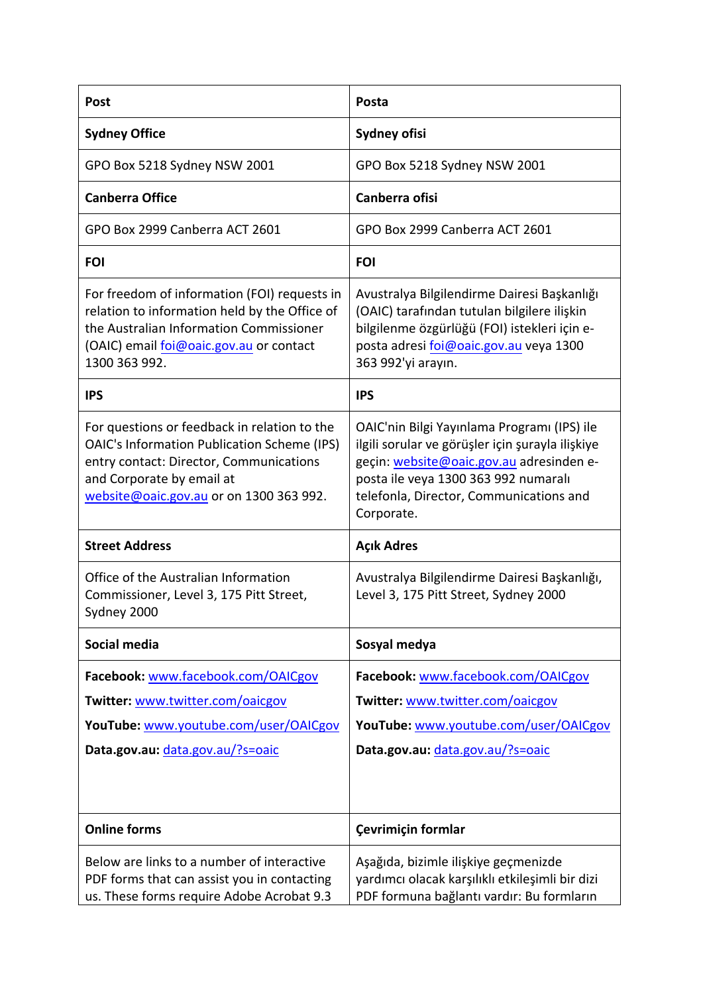| <b>Post</b>                                                                                                                                                                                                           | Posta                                                                                                                                                                                                                                        |
|-----------------------------------------------------------------------------------------------------------------------------------------------------------------------------------------------------------------------|----------------------------------------------------------------------------------------------------------------------------------------------------------------------------------------------------------------------------------------------|
| <b>Sydney Office</b>                                                                                                                                                                                                  | <b>Sydney ofisi</b>                                                                                                                                                                                                                          |
| GPO Box 5218 Sydney NSW 2001                                                                                                                                                                                          | GPO Box 5218 Sydney NSW 2001                                                                                                                                                                                                                 |
| <b>Canberra Office</b>                                                                                                                                                                                                | Canberra ofisi                                                                                                                                                                                                                               |
| GPO Box 2999 Canberra ACT 2601                                                                                                                                                                                        | GPO Box 2999 Canberra ACT 2601                                                                                                                                                                                                               |
| <b>FOI</b>                                                                                                                                                                                                            | <b>FOI</b>                                                                                                                                                                                                                                   |
| For freedom of information (FOI) requests in<br>relation to information held by the Office of<br>the Australian Information Commissioner<br>(OAIC) email foi@oaic.gov.au or contact<br>1300 363 992.                  | Avustralya Bilgilendirme Dairesi Başkanlığı<br>(OAIC) tarafından tutulan bilgilere ilişkin<br>bilgilenme özgürlüğü (FOI) istekleri için e-<br>posta adresi foi@oaic.gov.au veya 1300<br>363 992'yi arayın.                                   |
| <b>IPS</b>                                                                                                                                                                                                            | <b>IPS</b>                                                                                                                                                                                                                                   |
| For questions or feedback in relation to the<br><b>OAIC's Information Publication Scheme (IPS)</b><br>entry contact: Director, Communications<br>and Corporate by email at<br>website@oaic.gov.au or on 1300 363 992. | OAIC'nin Bilgi Yayınlama Programı (IPS) ile<br>ilgili sorular ve görüşler için şurayla ilişkiye<br>geçin: website@oaic.gov.au adresinden e-<br>posta ile veya 1300 363 992 numaralı<br>telefonla, Director, Communications and<br>Corporate. |
| <b>Street Address</b>                                                                                                                                                                                                 | <b>Açık Adres</b>                                                                                                                                                                                                                            |
| Office of the Australian Information<br>Commissioner, Level 3, 175 Pitt Street,<br>Sydney 2000                                                                                                                        | Avustralya Bilgilendirme Dairesi Başkanlığı,<br>Level 3, 175 Pitt Street, Sydney 2000                                                                                                                                                        |
| Social media                                                                                                                                                                                                          | Sosyal medya                                                                                                                                                                                                                                 |
| Facebook: www.facebook.com/OAICgov<br>Twitter: www.twitter.com/oaicgov<br>YouTube: www.youtube.com/user/OAICgov<br>Data.gov.au: data.gov.au/?s=oaic                                                                   | Facebook: www.facebook.com/OAICgov<br>Twitter: www.twitter.com/oaicgov<br>YouTube: www.youtube.com/user/OAICgov<br>Data.gov.au: data.gov.au/?s=oaic                                                                                          |
| <b>Online forms</b>                                                                                                                                                                                                   | Çevrimiçin formlar                                                                                                                                                                                                                           |
| Below are links to a number of interactive<br>PDF forms that can assist you in contacting<br>us. These forms require Adobe Acrobat 9.3                                                                                | Aşağıda, bizimle ilişkiye geçmenizde<br>yardımcı olacak karşılıklı etkileşimli bir dizi<br>PDF formuna bağlantı vardır: Bu formların                                                                                                         |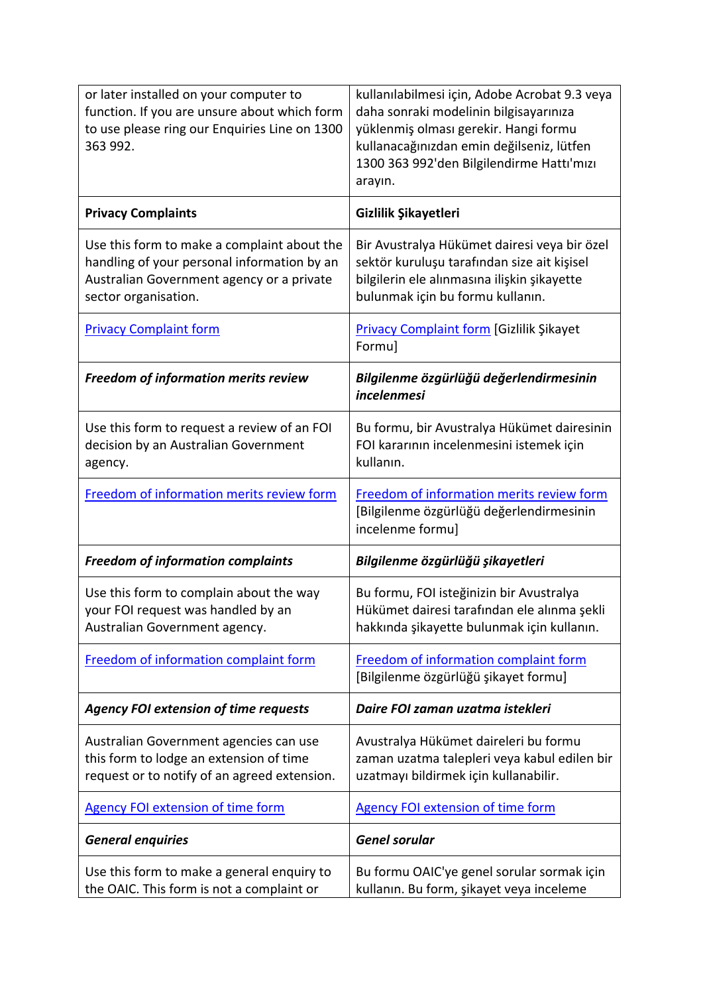| or later installed on your computer to<br>function. If you are unsure about which form<br>to use please ring our Enquiries Line on 1300<br>363 992.             | kullanılabilmesi için, Adobe Acrobat 9.3 veya<br>daha sonraki modelinin bilgisayarınıza<br>yüklenmiş olması gerekir. Hangi formu<br>kullanacağınızdan emin değilseniz, lütfen<br>1300 363 992'den Bilgilendirme Hattı'mızı<br>arayın. |
|-----------------------------------------------------------------------------------------------------------------------------------------------------------------|---------------------------------------------------------------------------------------------------------------------------------------------------------------------------------------------------------------------------------------|
| <b>Privacy Complaints</b>                                                                                                                                       | Gizlilik Şikayetleri                                                                                                                                                                                                                  |
| Use this form to make a complaint about the<br>handling of your personal information by an<br>Australian Government agency or a private<br>sector organisation. | Bir Avustralya Hükümet dairesi veya bir özel<br>sektör kuruluşu tarafından size ait kişisel<br>bilgilerin ele alınmasına ilişkin şikayette<br>bulunmak için bu formu kullanın.                                                        |
| <b>Privacy Complaint form</b>                                                                                                                                   | <b>Privacy Complaint form [Gizlilik Şikayet</b><br>Formu]                                                                                                                                                                             |
| Freedom of information merits review                                                                                                                            | Bilgilenme özgürlüğü değerlendirmesinin<br>incelenmesi                                                                                                                                                                                |
| Use this form to request a review of an FOI<br>decision by an Australian Government<br>agency.                                                                  | Bu formu, bir Avustralya Hükümet dairesinin<br>FOI kararının incelenmesini istemek için<br>kullanın.                                                                                                                                  |
| Freedom of information merits review form                                                                                                                       | Freedom of information merits review form<br>[Bilgilenme özgürlüğü değerlendirmesinin<br>incelenme formu]                                                                                                                             |
| <b>Freedom of information complaints</b>                                                                                                                        | Bilgilenme özgürlüğü şikayetleri                                                                                                                                                                                                      |
| Use this form to complain about the way<br>your FOI request was handled by an<br>Australian Government agency.                                                  | Bu formu, FOI isteğinizin bir Avustralya<br>Hükümet dairesi tarafından ele alınma sekli<br>hakkında şikayette bulunmak için kullanın.                                                                                                 |
| Freedom of information complaint form                                                                                                                           | Freedom of information complaint form<br>[Bilgilenme özgürlüğü şikayet formu]                                                                                                                                                         |
| <b>Agency FOI extension of time requests</b>                                                                                                                    | Daire FOI zaman uzatma istekleri                                                                                                                                                                                                      |
| Australian Government agencies can use<br>this form to lodge an extension of time<br>request or to notify of an agreed extension.                               | Avustralya Hükümet daireleri bu formu<br>zaman uzatma talepleri veya kabul edilen bir<br>uzatmayı bildirmek için kullanabilir.                                                                                                        |
| <b>Agency FOI extension of time form</b>                                                                                                                        | <b>Agency FOI extension of time form</b>                                                                                                                                                                                              |
| <b>General enquiries</b>                                                                                                                                        | <b>Genel sorular</b>                                                                                                                                                                                                                  |
| Use this form to make a general enquiry to<br>the OAIC. This form is not a complaint or                                                                         | Bu formu OAIC'ye genel sorular sormak için<br>kullanın. Bu form, şikayet veya inceleme                                                                                                                                                |